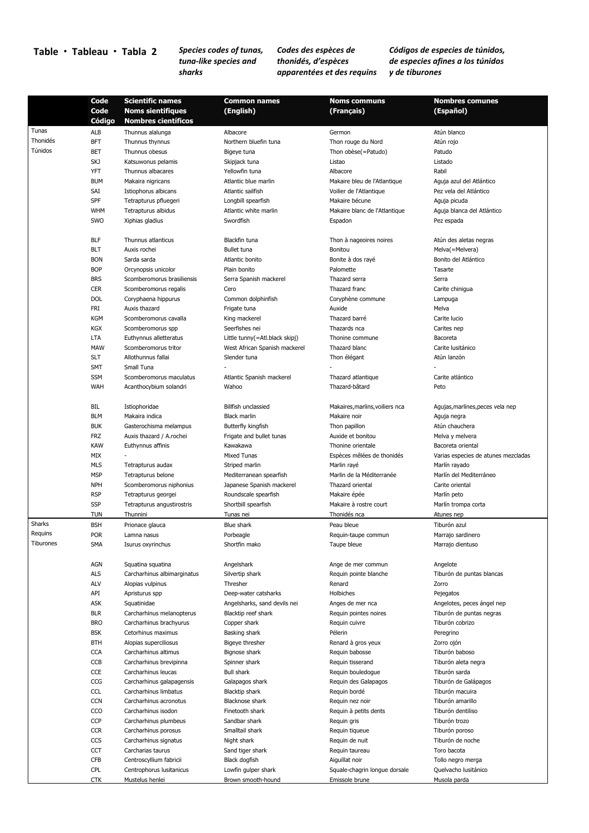## **Table Tableau Tabla 2** *Species codes of tunas,*

## *tuna‐like species and sharks*

*Codes des espèces de thonidés, d'espèces apparentées et des requins*  *Códigos de especies de túnidos, de especies afines a los túnidos y de tiburones* 

|                  | Code       | <b>Scientific names</b>     | <b>Common names</b>            | <b>Noms communs</b>             | <b>Nombres comunes</b>              |
|------------------|------------|-----------------------------|--------------------------------|---------------------------------|-------------------------------------|
|                  | Code       | <b>Noms sientifiques</b>    | (English)                      | (Français)                      | (Español)                           |
|                  | Código     | <b>Nombres científicos</b>  |                                |                                 |                                     |
| Tunas            | ALB        | Thunnus alalunga            | Albacore                       | Germon                          | Atún blanco                         |
| Thonidés         | <b>BFT</b> | Thunnus thynnus             | Northern bluefin tuna          | Thon rouge du Nord              | Atún rojo                           |
| Túnidos          | <b>BET</b> | Thunnus obesus              | Bigeve tuna                    | Thon obèse(=Patudo)             | Patudo                              |
|                  | SKJ        | Katsuwonus pelamis          | Skipjack tuna                  | Listao                          | Listado                             |
|                  | YFT        | Thunnus albacares           | Yellowfin tuna                 | Albacore                        | Rabil                               |
|                  | <b>BUM</b> | Makaira nigricans           | Atlantic blue marlin           | Makaire bleu de l'Atlantique    | Aguja azul del Atlántico            |
|                  | SAI        | Istiophorus albicans        | Atlantic sailfish              | Voilier de l'Atlantique         | Pez vela del Atlántico              |
|                  | SPF        | Tetrapturus pfluegeri       | Longbill spearfish             | Makaire bécune                  | Aguja picuda                        |
|                  | <b>WHM</b> | Tetrapturus albidus         | Atlantic white marlin          | Makaire blanc de l'Atlantique   | Aguja blanca del Atlántico          |
|                  | SWO        | Xiphias gladius             | Swordfish                      | Espadon                         | Pez espada                          |
|                  |            |                             |                                |                                 |                                     |
|                  | <b>BLF</b> | Thunnus atlanticus          | Blackfin tuna                  | Thon à nageoires noires         | Atún des aletas negras              |
|                  | <b>BLT</b> | Auxis rochei                | Bullet tuna                    | Bonitou                         | Melva(=Melvera)                     |
|                  | <b>BON</b> | Sarda sarda                 | Atlantic bonito                | Bonite à dos rayé               | Bonito del Atlántico                |
|                  | <b>BOP</b> | Orcynopsis unicolor         | Plain bonito                   | Palomette                       | Tasarte                             |
|                  | <b>BRS</b> | Scomberomorus brasiliensis  | Serra Spanish mackerel         | Thazard serra                   | Serra                               |
|                  | <b>CER</b> | Scomberomorus regalis       | Cero                           | Thazard franc                   | Carite chinigua                     |
|                  | <b>DOL</b> | Coryphaena hippurus         | Common dolphinfish             | Coryphène commune               | Lampuga                             |
|                  | FRI        | Auxis thazard               | Frigate tuna                   | Auxide                          | Melva                               |
|                  |            |                             |                                |                                 |                                     |
|                  | <b>KGM</b> | Scomberomorus cavalla       | King mackerel                  | Thazard barré                   | Carite lucio                        |
|                  | <b>KGX</b> | Scomberomorus spp           | Seerfishes nei                 | Thazards nca                    | Carites nep                         |
|                  | <b>LTA</b> | Euthynnus alletteratus      | Little tunny(=Atl.black skipj) | Thonine commune                 | Bacoreta                            |
|                  | <b>MAW</b> | Scomberomorus tritor        | West African Spanish mackerel  | Thazard blanc                   | Carite lusitánico                   |
|                  | <b>SLT</b> | Allothunnus fallai          | Slender tuna                   | Thon élégant                    | Atún lanzón                         |
|                  | <b>SMT</b> | Small Tuna                  |                                |                                 |                                     |
|                  | <b>SSM</b> | Scomberomorus maculatus     | Atlantic Spanish mackerel      | Thazard atlantique              | Carite atlántico                    |
|                  | <b>WAH</b> | Acanthocybium solandri      | Wahoo                          | Thazard-bâtard                  | Peto                                |
|                  |            |                             |                                |                                 |                                     |
|                  | BIL        | Istiophoridae               | Billfish unclassied            | Makaires, marlins, voiliers nca | Agujas, marlines, peces vela nep    |
|                  | <b>BLM</b> | Makaira indica              | <b>Black marlin</b>            | Makaire noir                    | Aguja negra                         |
|                  | <b>BUK</b> | Gasterochisma melampus      | Butterfly kingfish             | Thon papillon                   | Atún chauchera                      |
|                  | FRZ        | Auxis thazard / A.rochei    | Frigate and bullet tunas       | Auxide et bonitou               | Melva y melvera                     |
|                  | <b>KAW</b> | Euthynnus affinis           | Kawakawa                       | Thonine orientale               | Bacoreta oriental                   |
|                  | MIX        |                             | <b>Mixed Tunas</b>             | Espèces mêlées de thonidés      | Varias especies de atunes mezcladas |
|                  | <b>MLS</b> | Tetrapturus audax           | Striped marlin                 | Marlin rayé                     | Marlín rayado                       |
|                  | <b>MSP</b> | Tetrapturus belone          | Mediterranean spearfish        | Marlin de la Méditerranée       | Marlín del Mediterráneo             |
|                  | <b>NPH</b> | Scomberomorus niphonius     | Japanese Spanish mackerel      | Thazard oriental                | Carite oriental                     |
|                  | <b>RSP</b> | Tetrapturus georgei         | Roundscale spearfish           | Makaire épée                    | Marlín peto                         |
|                  | <b>SSP</b> | Tetrapturus angustirostris  | Shortbill spearfish            | Makaire à rostre court          | Marlín trompa corta                 |
|                  | <b>TUN</b> | Thunnini                    | Tunas nei                      | Thonidés nca                    | Atunes nep                          |
| Sharks           | <b>BSH</b> | Prionace glauca             | Blue shark                     | Peau bleue                      | Tiburón azul                        |
| Requins          | <b>POR</b> | Lamna nasus                 | Porbeagle                      | Requin-taupe commun             | Marrajo sardinero                   |
| <b>liburones</b> | SMA        | Isurus oxyrinchus           | Shortfin mako                  | Taupe bleue                     | Marrajo dientuso                    |
|                  |            |                             |                                |                                 |                                     |
|                  | <b>AGN</b> | Squatina squatina           | Angelshark                     | Ange de mer commun              | Angelote                            |
|                  | ALS        | Carcharhinus albimarginatus | Silvertip shark                | Requin pointe blanche           | Tiburón de puntas blancas           |
|                  | ALV        | Alopias vulpinus            | Thresher                       | Renard                          | Zorro                               |
|                  | API        | Apristurus spp              | Deep-water catsharks           | Holbiches                       | Pejegatos                           |
|                  | ASK        | Squatinidae                 | Angelsharks, sand devils nei   | Anges de mer nca                | Angelotes, peces ángel nep          |
|                  | <b>BLR</b> | Carcharhinus melanopterus   | Blacktip reef shark            | Requin pointes noires           | Tiburón de puntas negras            |
|                  | <b>BRO</b> | Carcharhinus brachyurus     | Copper shark                   | Requin cuivre                   | Tiburón cobrizo                     |
|                  | <b>BSK</b> | Cetorhinus maximus          | Basking shark                  | Pélerin                         | Peregrino                           |
|                  | <b>BTH</b> | Alopias superciliosus       | Bigeye thresher                | Renard à gros yeux              | Zorro ojón                          |
|                  | <b>CCA</b> | Carcharhinus altimus        | Bignose shark                  | Requin babosse                  | Tiburón baboso                      |
|                  | <b>CCB</b> | Carcharhinus brevipinna     | Spinner shark                  | Requin tisserand                | Tiburón aleta negra                 |
|                  | CCE        | Carcharhinus leucas         | <b>Bull shark</b>              | Requin bouledogue               | Tiburón sarda                       |
|                  | CCG        | Carcharhinus galapagensis   | Galapagos shark                | Requin des Galapagos            | Tiburón de Galápagos                |
|                  | <b>CCL</b> | Carcharhinus limbatus       | Blacktip shark                 | Requin bordé                    | Tiburón macuira                     |
|                  | <b>CCN</b> | Carcharhinus acronotus      | Blacknose shark                | Requin nez noir                 | Tiburón amarillo                    |
|                  | CCO        | Carcharhinus isodon         | Finetooth shark                | Requin à petits dents           | Tiburón dentiliso                   |
|                  | CCP        | Carcharhinus plumbeus       | Sandbar shark                  | Requin gris                     | Tiburón trozo                       |
|                  | <b>CCR</b> | Carcharhinus porosus        | Smalltail shark                | Requin tiqueue                  | Tiburón poroso                      |
|                  | CCS        | Carcharhinus signatus       | Night shark                    | Requin de nuit                  | Tiburón de noche                    |
|                  | <b>CCT</b> | Carcharias taurus           | Sand tiger shark               | Requin taureau                  | Toro bacota                         |
|                  | <b>CFB</b> | Centroscyllium fabricii     | Black dogfish                  | Aiguillat noir                  | Tollo negro merga                   |
|                  |            |                             |                                |                                 |                                     |
|                  | CPL        | Centrophorus Iusitanicus    | Lowfin gulper shark            | Squale-chagrin longue dorsale   | Quelvacho lusitánico                |
|                  | <b>CTK</b> | Mustelus henlei             | Brown smooth-hound             | Emissole brune                  | Musola parda                        |